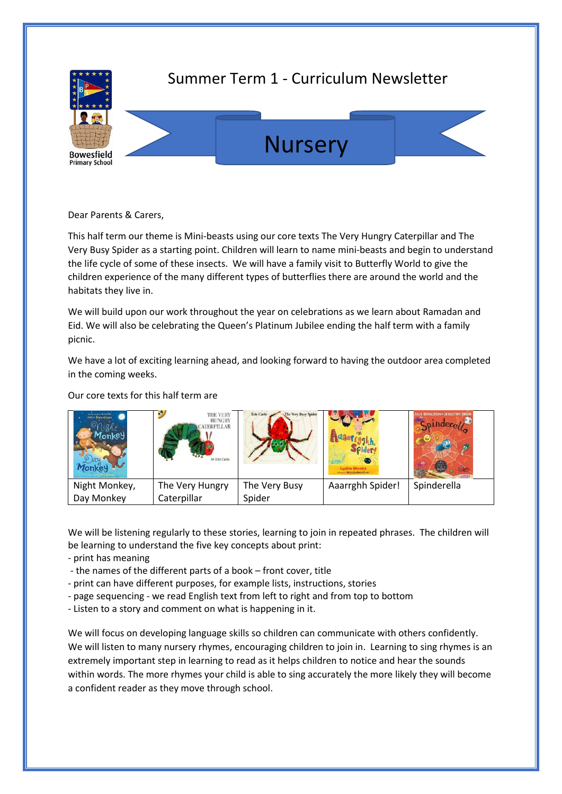

Dear Parents & Carers,

This half term our theme is Mini-beasts using our core texts The Very Hungry Caterpillar and The Very Busy Spider as a starting point. Children will learn to name mini-beasts and begin to understand the life cycle of some of these insects. We will have a family visit to Butterfly World to give the children experience of the many different types of butterflies there are around the world and the habitats they live in.

We will build upon our work throughout the year on celebrations as we learn about Ramadan and Eid. We will also be celebrating the Queen's Platinum Jubilee ending the half term with a family picnic.

We have a lot of exciting learning ahead, and looking forward to having the outdoor area completed in the coming weeks.

Our core texts for this half term are

| Announcementos<br>Jolia Denaldsen | $\sum_{n=1}^{\infty}$<br>THE VERY<br><b>HUNGRY</b><br><b>ATERPILLAR</b><br>by Eric Carle | The Very Busy Spider<br>Eric Carle | Ludia Monks<br>Sovered Winterfundability Brand | JULIA DONALDSON . SEBASTIEN BRAU<br>ó. |
|-----------------------------------|------------------------------------------------------------------------------------------|------------------------------------|------------------------------------------------|----------------------------------------|
| Night Monkey,                     | The Very Hungry                                                                          | The Very Busy                      | Aaarrghh Spider!                               | Spinderella                            |
| Day Monkey                        | Caterpillar                                                                              | Spider                             |                                                |                                        |

We will be listening regularly to these stories, learning to join in repeated phrases. The children will be learning to understand the five key concepts about print:

- print has meaning

- the names of the different parts of a book – front cover, title

- print can have different purposes, for example lists, instructions, stories

- page sequencing - we read English text from left to right and from top to bottom

- Listen to a story and comment on what is happening in it.

We will focus on developing language skills so children can communicate with others confidently. We will listen to many nursery rhymes, encouraging children to join in. Learning to sing rhymes is an extremely important step in learning to read as it helps children to notice and hear the sounds within words. The more rhymes your child is able to sing accurately the more likely they will become a confident reader as they move through school.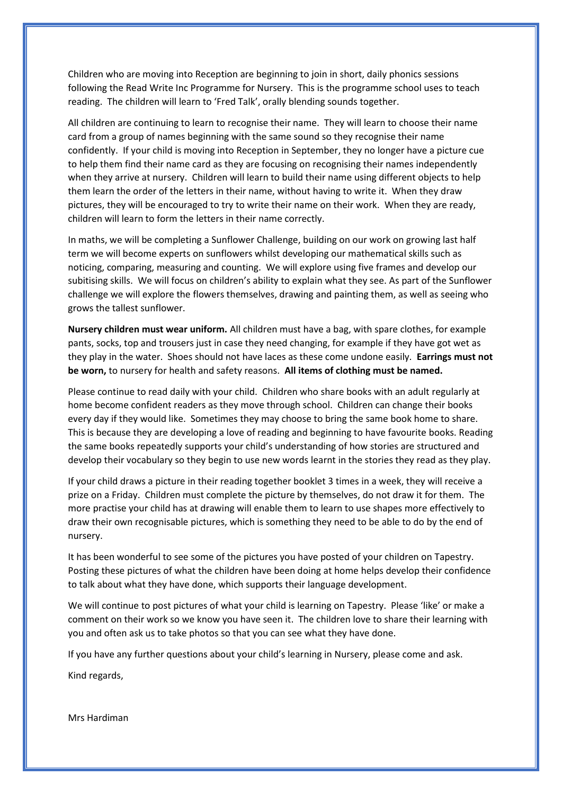Children who are moving into Reception are beginning to join in short, daily phonics sessions following the Read Write Inc Programme for Nursery. This is the programme school uses to teach reading. The children will learn to 'Fred Talk', orally blending sounds together.

All children are continuing to learn to recognise their name. They will learn to choose their name card from a group of names beginning with the same sound so they recognise their name confidently. If your child is moving into Reception in September, they no longer have a picture cue to help them find their name card as they are focusing on recognising their names independently when they arrive at nursery. Children will learn to build their name using different objects to help them learn the order of the letters in their name, without having to write it. When they draw pictures, they will be encouraged to try to write their name on their work. When they are ready, children will learn to form the letters in their name correctly.

In maths, we will be completing a Sunflower Challenge, building on our work on growing last half term we will become experts on sunflowers whilst developing our mathematical skills such as noticing, comparing, measuring and counting. We will explore using five frames and develop our subitising skills. We will focus on children's ability to explain what they see. As part of the Sunflower challenge we will explore the flowers themselves, drawing and painting them, as well as seeing who grows the tallest sunflower.

**Nursery children must wear uniform.** All children must have a bag, with spare clothes, for example pants, socks, top and trousers just in case they need changing, for example if they have got wet as they play in the water. Shoes should not have laces as these come undone easily. **Earrings must not be worn,** to nursery for health and safety reasons. **All items of clothing must be named.** 

Please continue to read daily with your child. Children who share books with an adult regularly at home become confident readers as they move through school. Children can change their books every day if they would like. Sometimes they may choose to bring the same book home to share. This is because they are developing a love of reading and beginning to have favourite books. Reading the same books repeatedly supports your child's understanding of how stories are structured and develop their vocabulary so they begin to use new words learnt in the stories they read as they play.

If your child draws a picture in their reading together booklet 3 times in a week, they will receive a prize on a Friday. Children must complete the picture by themselves, do not draw it for them. The more practise your child has at drawing will enable them to learn to use shapes more effectively to draw their own recognisable pictures, which is something they need to be able to do by the end of nursery.

It has been wonderful to see some of the pictures you have posted of your children on Tapestry. Posting these pictures of what the children have been doing at home helps develop their confidence to talk about what they have done, which supports their language development.

We will continue to post pictures of what your child is learning on Tapestry. Please 'like' or make a comment on their work so we know you have seen it. The children love to share their learning with you and often ask us to take photos so that you can see what they have done.

If you have any further questions about your child's learning in Nursery, please come and ask.

Kind regards,

Mrs Hardiman